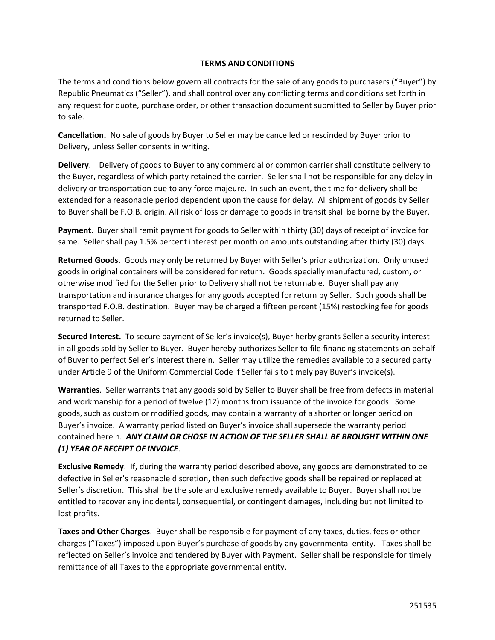## **TERMS AND CONDITIONS**

The terms and conditions below govern all contracts for the sale of any goods to purchasers ("Buyer") by Republic Pneumatics ("Seller"), and shall control over any conflicting terms and conditions set forth in any request for quote, purchase order, or other transaction document submitted to Seller by Buyer prior to sale.

**Cancellation.** No sale of goods by Buyer to Seller may be cancelled or rescinded by Buyer prior to Delivery, unless Seller consents in writing.

**Delivery**. Delivery of goods to Buyer to any commercial or common carrier shall constitute delivery to the Buyer, regardless of which party retained the carrier. Seller shall not be responsible for any delay in delivery or transportation due to any force majeure. In such an event, the time for delivery shall be extended for a reasonable period dependent upon the cause for delay. All shipment of goods by Seller to Buyer shall be F.O.B. origin. All risk of loss or damage to goods in transit shall be borne by the Buyer.

**Payment**. Buyer shall remit payment for goods to Seller within thirty (30) days of receipt of invoice for same. Seller shall pay 1.5% percent interest per month on amounts outstanding after thirty (30) days.

**Returned Goods**. Goods may only be returned by Buyer with Seller's prior authorization. Only unused goods in original containers will be considered for return. Goods specially manufactured, custom, or otherwise modified for the Seller prior to Delivery shall not be returnable. Buyer shall pay any transportation and insurance charges for any goods accepted for return by Seller. Such goods shall be transported F.O.B. destination. Buyer may be charged a fifteen percent (15%) restocking fee for goods returned to Seller.

**Secured Interest.** To secure payment of Seller's invoice(s), Buyer herby grants Seller a security interest in all goods sold by Seller to Buyer. Buyer hereby authorizes Seller to file financing statements on behalf of Buyer to perfect Seller's interest therein. Seller may utilize the remedies available to a secured party under Article 9 of the Uniform Commercial Code if Seller fails to timely pay Buyer's invoice(s).

**Warranties**. Seller warrants that any goods sold by Seller to Buyer shall be free from defects in material and workmanship for a period of twelve (12) months from issuance of the invoice for goods. Some goods, such as custom or modified goods, may contain a warranty of a shorter or longer period on Buyer's invoice. A warranty period listed on Buyer's invoice shall supersede the warranty period contained herein. *ANY CLAIM OR CHOSE IN ACTION OF THE SELLER SHALL BE BROUGHT WITHIN ONE (1) YEAR OF RECEIPT OF INVOICE*.

**Exclusive Remedy**. If, during the warranty period described above, any goods are demonstrated to be defective in Seller's reasonable discretion, then such defective goods shall be repaired or replaced at Seller's discretion. This shall be the sole and exclusive remedy available to Buyer. Buyer shall not be entitled to recover any incidental, consequential, or contingent damages, including but not limited to lost profits.

**Taxes and Other Charges**. Buyer shall be responsible for payment of any taxes, duties, fees or other charges ("Taxes") imposed upon Buyer's purchase of goods by any governmental entity. Taxes shall be reflected on Seller's invoice and tendered by Buyer with Payment. Seller shall be responsible for timely remittance of all Taxes to the appropriate governmental entity.